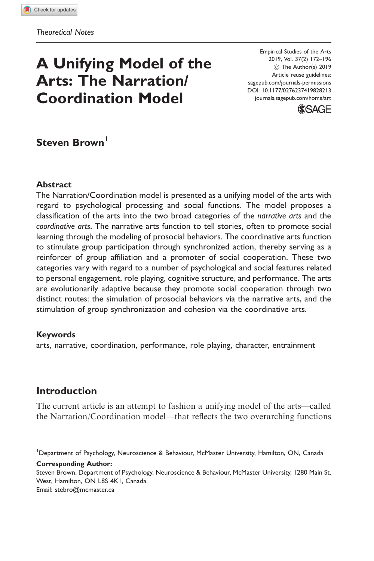# A Unifying Model of the Arts: The Narration/ Coordination Model

Empirical Studies of the Arts 2019, Vol. 37(2) 172–196  $©$  The Author(s) 2019 Article reuse guidelines: [sagepub.com/journals-permissions](http://us.sagepub.com/en-us/journals-permissions) [DOI: 10.1177/0276237419828213](http://dx.doi.org/10.1177/0276237419828213) <journals.sagepub.com/home/art>



# Steven Brown<sup>1</sup>

#### Abstract

The Narration/Coordination model is presented as a unifying model of the arts with regard to psychological processing and social functions. The model proposes a classification of the arts into the two broad categories of the narrative arts and the coordinative arts. The narrative arts function to tell stories, often to promote social learning through the modeling of prosocial behaviors. The coordinative arts function to stimulate group participation through synchronized action, thereby serving as a reinforcer of group affiliation and a promoter of social cooperation. These two categories vary with regard to a number of psychological and social features related to personal engagement, role playing, cognitive structure, and performance. The arts are evolutionarily adaptive because they promote social cooperation through two distinct routes: the simulation of prosocial behaviors via the narrative arts, and the stimulation of group synchronization and cohesion via the coordinative arts.

#### Keywords

arts, narrative, coordination, performance, role playing, character, entrainment

## Introduction

The current article is an attempt to fashion a unifying model of the arts—called the Narration/Coordination model—that reflects the two overarching functions

Corresponding Author:

Email: [stebro@mcmaster.ca](mailto:stebro@mcmaster.ca)

<sup>&</sup>lt;sup>1</sup>Department of Psychology, Neuroscience & Behaviour, McMaster University, Hamilton, ON, Canada

Steven Brown, Department of Psychology, Neuroscience & Behaviour, McMaster University, 1280 Main St. West, Hamilton, ON L8S 4K1, Canada.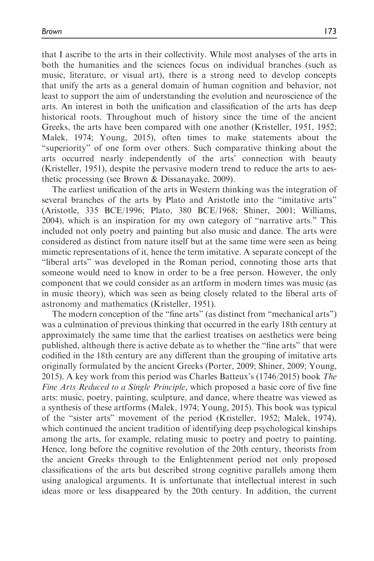that I ascribe to the arts in their collectivity. While most analyses of the arts in both the humanities and the sciences focus on individual branches (such as music, literature, or visual art), there is a strong need to develop concepts that unify the arts as a general domain of human cognition and behavior, not least to support the aim of understanding the evolution and neuroscience of the arts. An interest in both the unification and classification of the arts has deep historical roots. Throughout much of history since the time of the ancient Greeks, the arts have been compared with one another (Kristeller, 1951, 1952; Malek, 1974; Young, 2015), often times to make statements about the "superiority" of one form over others. Such comparative thinking about the arts occurred nearly independently of the arts' connection with beauty (Kristeller, 1951), despite the pervasive modern trend to reduce the arts to aesthetic processing (see Brown & Dissanayake, 2009).

The earliest unification of the arts in Western thinking was the integration of several branches of the arts by Plato and Aristotle into the "imitative arts" (Aristotle, 335 BCE/1996; Plato, 380 BCE/1968; Shiner, 2001; Williams, 2004), which is an inspiration for my own category of "narrative arts." This included not only poetry and painting but also music and dance. The arts were considered as distinct from nature itself but at the same time were seen as being mimetic representations of it, hence the term imitative. A separate concept of the "liberal arts" was developed in the Roman period, connoting those arts that someone would need to know in order to be a free person. However, the only component that we could consider as an artform in modern times was music (as in music theory), which was seen as being closely related to the liberal arts of astronomy and mathematics (Kristeller, 1951).

The modern conception of the "fine arts" (as distinct from "mechanical arts") was a culmination of previous thinking that occurred in the early 18th century at approximately the same time that the earliest treatises on aesthetics were being published, although there is active debate as to whether the "fine arts" that were codified in the 18th century are any different than the grouping of imitative arts originally formulated by the ancient Greeks (Porter, 2009; Shiner, 2009; Young, 2015). A key work from this period was Charles Batteux's (1746/2015) book The Fine Arts Reduced to a Single Principle, which proposed a basic core of five fine arts: music, poetry, painting, sculpture, and dance, where theatre was viewed as a synthesis of these artforms (Malek, 1974; Young, 2015). This book was typical of the "sister arts" movement of the period (Kristeller, 1952; Malek, 1974), which continued the ancient tradition of identifying deep psychological kinships among the arts, for example, relating music to poetry and poetry to painting. Hence, long before the cognitive revolution of the 20th century, theorists from the ancient Greeks through to the Enlightenment period not only proposed classifications of the arts but described strong cognitive parallels among them using analogical arguments. It is unfortunate that intellectual interest in such ideas more or less disappeared by the 20th century. In addition, the current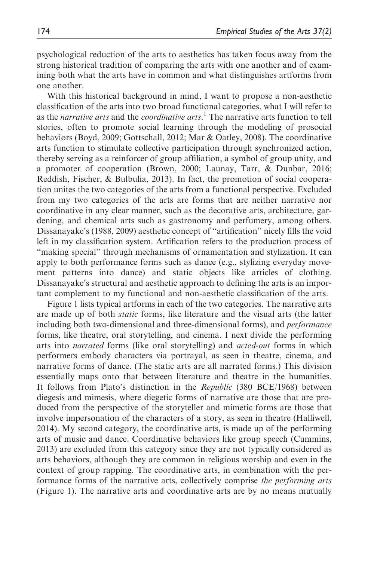psychological reduction of the arts to aesthetics has taken focus away from the strong historical tradition of comparing the arts with one another and of examining both what the arts have in common and what distinguishes artforms from one another.

With this historical background in mind, I want to propose a non-aesthetic classification of the arts into two broad functional categories, what I will refer to as the *narrative arts* and the *coordinative arts*.<sup>1</sup> The narrative arts function to tell stories, often to promote social learning through the modeling of prosocial behaviors (Boyd, 2009; Gottschall, 2012; Mar & Oatley, 2008). The coordinative arts function to stimulate collective participation through synchronized action, thereby serving as a reinforcer of group affiliation, a symbol of group unity, and a promoter of cooperation (Brown, 2000; Launay, Tarr, & Dunbar, 2016; Reddish, Fischer, & Bulbulia, 2013). In fact, the promotion of social cooperation unites the two categories of the arts from a functional perspective. Excluded from my two categories of the arts are forms that are neither narrative nor coordinative in any clear manner, such as the decorative arts, architecture, gardening, and chemical arts such as gastronomy and perfumery, among others. Dissanayake's (1988, 2009) aesthetic concept of "artification" nicely fills the void left in my classification system. Artification refers to the production process of "making special" through mechanisms of ornamentation and stylization. It can apply to both performance forms such as dance (e.g., stylizing everyday movement patterns into dance) and static objects like articles of clothing. Dissanayake's structural and aesthetic approach to defining the arts is an important complement to my functional and non-aesthetic classification of the arts.

Figure 1 lists typical artforms in each of the two categories. The narrative arts are made up of both static forms, like literature and the visual arts (the latter including both two-dimensional and three-dimensional forms), and performance forms, like theatre, oral storytelling, and cinema. I next divide the performing arts into narrated forms (like oral storytelling) and acted-out forms in which performers embody characters via portrayal, as seen in theatre, cinema, and narrative forms of dance. (The static arts are all narrated forms.) This division essentially maps onto that between literature and theatre in the humanities. It follows from Plato's distinction in the Republic (380 BCE/1968) between diegesis and mimesis, where diegetic forms of narrative are those that are produced from the perspective of the storyteller and mimetic forms are those that involve impersonation of the characters of a story, as seen in theatre (Halliwell, 2014). My second category, the coordinative arts, is made up of the performing arts of music and dance. Coordinative behaviors like group speech (Cummins, 2013) are excluded from this category since they are not typically considered as arts behaviors, although they are common in religious worship and even in the context of group rapping. The coordinative arts, in combination with the performance forms of the narrative arts, collectively comprise the performing arts (Figure 1). The narrative arts and coordinative arts are by no means mutually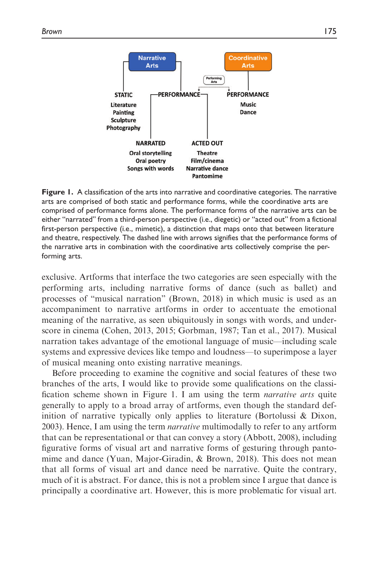

Figure 1. A classification of the arts into narrative and coordinative categories. The narrative arts are comprised of both static and performance forms, while the coordinative arts are comprised of performance forms alone. The performance forms of the narrative arts can be either "narrated" from a third-person perspective (i.e., diegetic) or "acted out" from a fictional first-person perspective (i.e., mimetic), a distinction that maps onto that between literature and theatre, respectively. The dashed line with arrows signifies that the performance forms of the narrative arts in combination with the coordinative arts collectively comprise the performing arts.

exclusive. Artforms that interface the two categories are seen especially with the performing arts, including narrative forms of dance (such as ballet) and processes of "musical narration" (Brown, 2018) in which music is used as an accompaniment to narrative artforms in order to accentuate the emotional meaning of the narrative, as seen ubiquitously in songs with words, and underscore in cinema (Cohen, 2013, 2015; Gorbman, 1987; Tan et al., 2017). Musical narration takes advantage of the emotional language of music—including scale systems and expressive devices like tempo and loudness—to superimpose a layer of musical meaning onto existing narrative meanings.

Before proceeding to examine the cognitive and social features of these two branches of the arts, I would like to provide some qualifications on the classification scheme shown in Figure 1. I am using the term narrative arts quite generally to apply to a broad array of artforms, even though the standard definition of narrative typically only applies to literature (Bortolussi & Dixon, 2003). Hence, I am using the term narrative multimodally to refer to any artform that can be representational or that can convey a story (Abbott, 2008), including figurative forms of visual art and narrative forms of gesturing through pantomime and dance (Yuan, Major-Giradin, & Brown, 2018). This does not mean that all forms of visual art and dance need be narrative. Quite the contrary, much of it is abstract. For dance, this is not a problem since I argue that dance is principally a coordinative art. However, this is more problematic for visual art.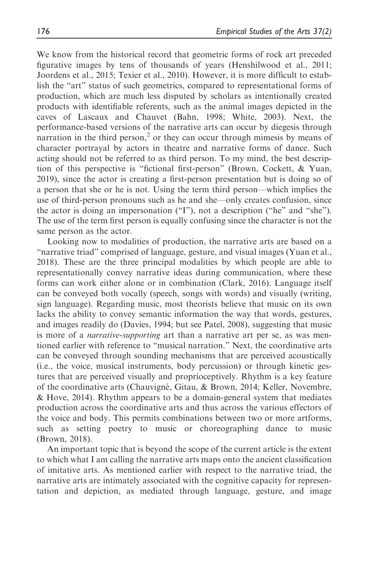We know from the historical record that geometric forms of rock art preceded figurative images by tens of thousands of years (Henshilwood et al., 2011; Joordens et al., 2015; Texier et al., 2010). However, it is more difficult to establish the "art" status of such geometrics, compared to representational forms of production, which are much less disputed by scholars as intentionally created products with identifiable referents, such as the animal images depicted in the caves of Lascaux and Chauvet (Bahn, 1998; White, 2003). Next, the performance-based versions of the narrative arts can occur by diegesis through narration in the third person, $<sup>2</sup>$  or they can occur through mimesis by means of</sup> character portrayal by actors in theatre and narrative forms of dance. Such acting should not be referred to as third person. To my mind, the best description of this perspective is "fictional first-person" (Brown, Cockett, & Yuan, 2019), since the actor is creating a first-person presentation but is doing so of a person that she or he is not. Using the term third person—which implies the use of third-person pronouns such as he and she—only creates confusion, since the actor is doing an impersonation ("I"), not a description ("he" and "she"). The use of the term first person is equally confusing since the character is not the same person as the actor.

Looking now to modalities of production, the narrative arts are based on a "narrative triad" comprised of language, gesture, and visual images (Yuan et al., 2018). These are the three principal modalities by which people are able to representationally convey narrative ideas during communication, where these forms can work either alone or in combination (Clark, 2016). Language itself can be conveyed both vocally (speech, songs with words) and visually (writing, sign language). Regarding music, most theorists believe that music on its own lacks the ability to convey semantic information the way that words, gestures, and images readily do (Davies, 1994; but see Patel, 2008), suggesting that music is more of a narrative-supporting art than a narrative art per se, as was mentioned earlier with reference to "musical narration." Next, the coordinative arts can be conveyed through sounding mechanisms that are perceived acoustically (i.e., the voice, musical instruments, body percussion) or through kinetic gestures that are perceived visually and proprioceptively. Rhythm is a key feature of the coordinative arts (Chauvigné, Gitau, & Brown, 2014; Keller, Novembre, & Hove, 2014). Rhythm appears to be a domain-general system that mediates production across the coordinative arts and thus across the various effectors of the voice and body. This permits combinations between two or more artforms, such as setting poetry to music or choreographing dance to music (Brown, 2018).

An important topic that is beyond the scope of the current article is the extent to which what I am calling the narrative arts maps onto the ancient classification of imitative arts. As mentioned earlier with respect to the narrative triad, the narrative arts are intimately associated with the cognitive capacity for representation and depiction, as mediated through language, gesture, and image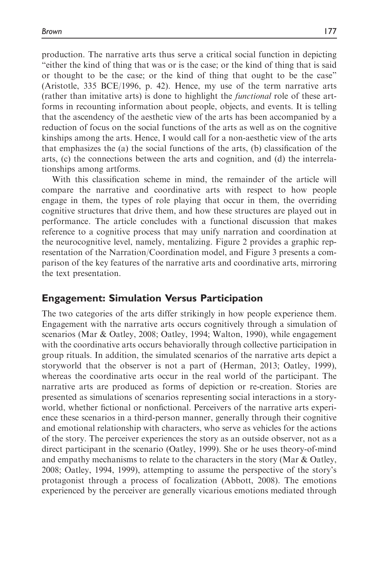production. The narrative arts thus serve a critical social function in depicting "either the kind of thing that was or is the case; or the kind of thing that is said or thought to be the case; or the kind of thing that ought to be the case" (Aristotle, 335 BCE/1996, p. 42). Hence, my use of the term narrative arts (rather than imitative arts) is done to highlight the functional role of these artforms in recounting information about people, objects, and events. It is telling that the ascendency of the aesthetic view of the arts has been accompanied by a reduction of focus on the social functions of the arts as well as on the cognitive kinships among the arts. Hence, I would call for a non-aesthetic view of the arts that emphasizes the (a) the social functions of the arts, (b) classification of the arts, (c) the connections between the arts and cognition, and (d) the interrelationships among artforms.

With this classification scheme in mind, the remainder of the article will compare the narrative and coordinative arts with respect to how people engage in them, the types of role playing that occur in them, the overriding cognitive structures that drive them, and how these structures are played out in performance. The article concludes with a functional discussion that makes reference to a cognitive process that may unify narration and coordination at the neurocognitive level, namely, mentalizing. Figure 2 provides a graphic representation of the Narration/Coordination model, and Figure 3 presents a comparison of the key features of the narrative arts and coordinative arts, mirroring the text presentation.

## Engagement: Simulation Versus Participation

The two categories of the arts differ strikingly in how people experience them. Engagement with the narrative arts occurs cognitively through a simulation of scenarios (Mar & Oatley, 2008; Oatley, 1994; Walton, 1990), while engagement with the coordinative arts occurs behaviorally through collective participation in group rituals. In addition, the simulated scenarios of the narrative arts depict a storyworld that the observer is not a part of (Herman, 2013; Oatley, 1999), whereas the coordinative arts occur in the real world of the participant. The narrative arts are produced as forms of depiction or re-creation. Stories are presented as simulations of scenarios representing social interactions in a storyworld, whether fictional or nonfictional. Perceivers of the narrative arts experience these scenarios in a third-person manner, generally through their cognitive and emotional relationship with characters, who serve as vehicles for the actions of the story. The perceiver experiences the story as an outside observer, not as a direct participant in the scenario (Oatley, 1999). She or he uses theory-of-mind and empathy mechanisms to relate to the characters in the story (Mar & Oatley, 2008; Oatley, 1994, 1999), attempting to assume the perspective of the story's protagonist through a process of focalization (Abbott, 2008). The emotions experienced by the perceiver are generally vicarious emotions mediated through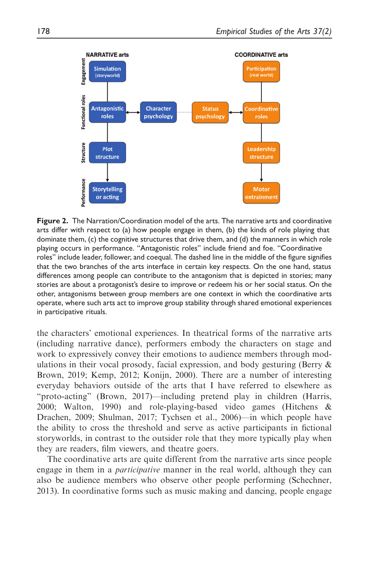

Figure 2. The Narration/Coordination model of the arts. The narrative arts and coordinative arts differ with respect to (a) how people engage in them, (b) the kinds of role playing that dominate them, (c) the cognitive structures that drive them, and (d) the manners in which role playing occurs in performance. "Antagonistic roles" include friend and foe. "Coordinative roles" include leader, follower, and coequal. The dashed line in the middle of the figure signifies that the two branches of the arts interface in certain key respects. On the one hand, status differences among people can contribute to the antagonism that is depicted in stories; many stories are about a protagonist's desire to improve or redeem his or her social status. On the other, antagonisms between group members are one context in which the coordinative arts operate, where such arts act to improve group stability through shared emotional experiences in participative rituals.

the characters' emotional experiences. In theatrical forms of the narrative arts (including narrative dance), performers embody the characters on stage and work to expressively convey their emotions to audience members through modulations in their vocal prosody, facial expression, and body gesturing (Berry & Brown, 2019; Kemp, 2012; Konijn, 2000). There are a number of interesting everyday behaviors outside of the arts that I have referred to elsewhere as "proto-acting" (Brown, 2017)—including pretend play in children (Harris, 2000; Walton, 1990) and role-playing-based video games (Hitchens & Drachen, 2009; Shulman, 2017; Tychsen et al., 2006)—in which people have the ability to cross the threshold and serve as active participants in fictional storyworlds, in contrast to the outsider role that they more typically play when they are readers, film viewers, and theatre goers.

The coordinative arts are quite different from the narrative arts since people engage in them in a participative manner in the real world, although they can also be audience members who observe other people performing (Schechner, 2013). In coordinative forms such as music making and dancing, people engage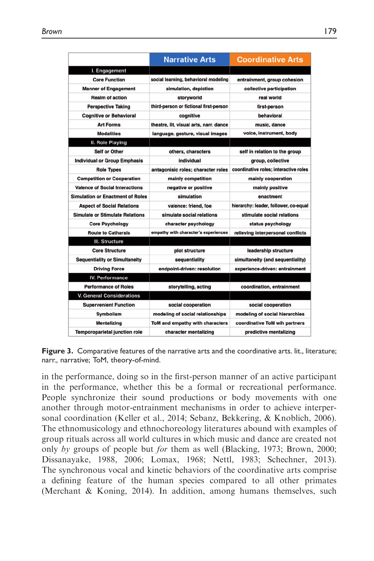|                                         | <b>Narrative Arts</b>                  | <b>Coordinative Arts</b>              |
|-----------------------------------------|----------------------------------------|---------------------------------------|
| I. Engagement                           |                                        |                                       |
| <b>Core Function</b>                    | social learning, behavioral modeling   | entrainment, group cohesion           |
| <b>Manner of Engagement</b>             | simulation, depiction                  | collective participation              |
| <b>Realm of action</b>                  | storyworld                             | real world                            |
| <b>Perspective Taking</b>               | third-person or fictional first-person | first-person                          |
| <b>Cognitive or Behavioral</b>          | cognitive                              | behavioral                            |
| <b>Art Forms</b>                        | theatre, lit, visual arts, narr, dance | music, dance                          |
| <b>Modalities</b>                       | language, gesture, visual images       | voice, instrument, body               |
| II. Role Playing                        |                                        |                                       |
| <b>Self or Other</b>                    | others, characters                     | self in relation to the group         |
| <b>Individual or Group Emphasis</b>     | individual                             | group, collective                     |
| <b>Role Types</b>                       | antagonisic roles; character roles     | coordinative roles; interactive roles |
| <b>Competition or Cooperation</b>       | mainly competition                     | mainly cooperation                    |
| <b>Valence of Social Interactions</b>   | negative or positive                   | mainly positive                       |
| <b>Simulation or Enactment of Roles</b> | simulation                             | enactment                             |
| <b>Aspect of Social Relations</b>       | valence: friend, foe                   | hierarchy: leader, follower, co-equal |
| <b>Simulate or Stimulate Relations</b>  | simulate social relations              | stimulate social relations            |
| <b>Core Psychology</b>                  | character psychology                   | status psychology                     |
| <b>Route to Catharsis</b>               | empathy with character's experiences   | relieving interpersonal conflicts     |
| III. Structure                          |                                        |                                       |
| <b>Core Structure</b>                   | plot structure                         | leadership structure                  |
| <b>Sequentiality or Simultaneity</b>    | sequentiality                          | simultaneity (and sequentiality)      |
| <b>Driving Force</b>                    | endpoint-driven: resolution            | experience-driven: entrainment        |
| IV. Performance                         |                                        |                                       |
| <b>Performance of Roles</b>             | storytelling, acting                   | coordination, entrainment             |
| <b>V. General Considerations</b>        |                                        |                                       |
| <b>Supervenient Function</b>            | social cooperation                     | social cooperation                    |
| <b>Symbolism</b>                        | modeling of social relationships       | modeling of social hierarchies        |
| <b>Mentalizing</b>                      | ToM and empathy with characters        | coordinative ToM wih partners         |
| <b>Temporoparietal junction role</b>    | character mentalizing                  | predictive mentalizing                |

Figure 3. Comparative features of the narrative arts and the coordinative arts. lit., literature; narr., narrative; ToM, theory-of-mind.

in the performance, doing so in the first-person manner of an active participant in the performance, whether this be a formal or recreational performance. People synchronize their sound productions or body movements with one another through motor-entrainment mechanisms in order to achieve interpersonal coordination (Keller et al., 2014; Sebanz, Bekkering, & Knoblich, 2006). The ethnomusicology and ethnochoreology literatures abound with examples of group rituals across all world cultures in which music and dance are created not only by groups of people but for them as well (Blacking, 1973; Brown, 2000; Dissanayake, 1988, 2006; Lomax, 1968; Nettl, 1983; Schechner, 2013). The synchronous vocal and kinetic behaviors of the coordinative arts comprise a defining feature of the human species compared to all other primates (Merchant & Koning, 2014). In addition, among humans themselves, such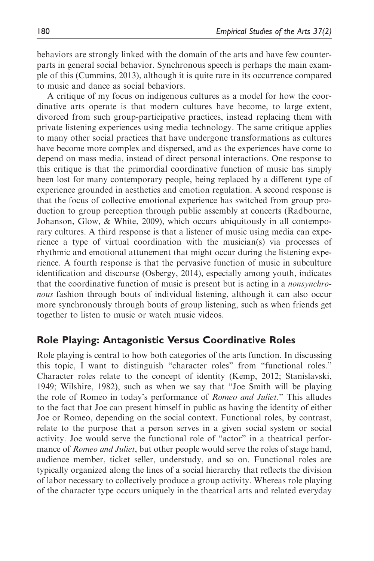behaviors are strongly linked with the domain of the arts and have few counterparts in general social behavior. Synchronous speech is perhaps the main example of this (Cummins, 2013), although it is quite rare in its occurrence compared to music and dance as social behaviors.

A critique of my focus on indigenous cultures as a model for how the coordinative arts operate is that modern cultures have become, to large extent, divorced from such group-participative practices, instead replacing them with private listening experiences using media technology. The same critique applies to many other social practices that have undergone transformations as cultures have become more complex and dispersed, and as the experiences have come to depend on mass media, instead of direct personal interactions. One response to this critique is that the primordial coordinative function of music has simply been lost for many contemporary people, being replaced by a different type of experience grounded in aesthetics and emotion regulation. A second response is that the focus of collective emotional experience has switched from group production to group perception through public assembly at concerts (Radbourne, Johanson, Glow, & White, 2009), which occurs ubiquitously in all contemporary cultures. A third response is that a listener of music using media can experience a type of virtual coordination with the musician(s) via processes of rhythmic and emotional attunement that might occur during the listening experience. A fourth response is that the pervasive function of music in subculture identification and discourse (Osbergy, 2014), especially among youth, indicates that the coordinative function of music is present but is acting in a nonsynchronous fashion through bouts of individual listening, although it can also occur more synchronously through bouts of group listening, such as when friends get together to listen to music or watch music videos.

## Role Playing: Antagonistic Versus Coordinative Roles

Role playing is central to how both categories of the arts function. In discussing this topic, I want to distinguish "character roles" from "functional roles." Character roles relate to the concept of identity (Kemp, 2012; Stanislavski, 1949; Wilshire, 1982), such as when we say that "Joe Smith will be playing the role of Romeo in today's performance of Romeo and Juliet." This alludes to the fact that Joe can present himself in public as having the identity of either Joe or Romeo, depending on the social context. Functional roles, by contrast, relate to the purpose that a person serves in a given social system or social activity. Joe would serve the functional role of "actor" in a theatrical performance of Romeo and Juliet, but other people would serve the roles of stage hand, audience member, ticket seller, understudy, and so on. Functional roles are typically organized along the lines of a social hierarchy that reflects the division of labor necessary to collectively produce a group activity. Whereas role playing of the character type occurs uniquely in the theatrical arts and related everyday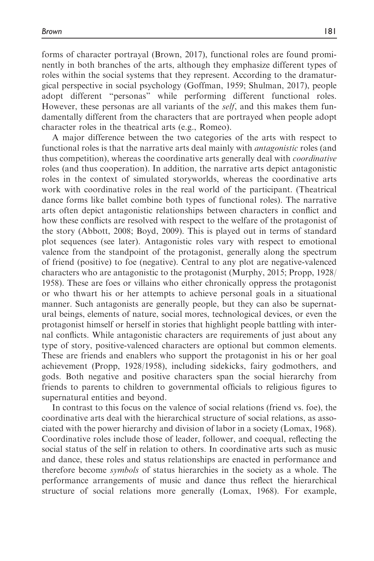forms of character portrayal (Brown, 2017), functional roles are found prominently in both branches of the arts, although they emphasize different types of roles within the social systems that they represent. According to the dramaturgical perspective in social psychology (Goffman, 1959; Shulman, 2017), people adopt different "personas" while performing different functional roles. However, these personas are all variants of the *self*, and this makes them fundamentally different from the characters that are portrayed when people adopt character roles in the theatrical arts (e.g., Romeo).

A major difference between the two categories of the arts with respect to functional roles is that the narrative arts deal mainly with antagonistic roles (and thus competition), whereas the coordinative arts generally deal with coordinative roles (and thus cooperation). In addition, the narrative arts depict antagonistic roles in the context of simulated storyworlds, whereas the coordinative arts work with coordinative roles in the real world of the participant. (Theatrical dance forms like ballet combine both types of functional roles). The narrative arts often depict antagonistic relationships between characters in conflict and how these conflicts are resolved with respect to the welfare of the protagonist of the story (Abbott, 2008; Boyd, 2009). This is played out in terms of standard plot sequences (see later). Antagonistic roles vary with respect to emotional valence from the standpoint of the protagonist, generally along the spectrum of friend (positive) to foe (negative). Central to any plot are negative-valenced characters who are antagonistic to the protagonist (Murphy, 2015; Propp, 1928/ 1958). These are foes or villains who either chronically oppress the protagonist or who thwart his or her attempts to achieve personal goals in a situational manner. Such antagonists are generally people, but they can also be supernatural beings, elements of nature, social mores, technological devices, or even the protagonist himself or herself in stories that highlight people battling with internal conflicts. While antagonistic characters are requirements of just about any type of story, positive-valenced characters are optional but common elements. These are friends and enablers who support the protagonist in his or her goal achievement (Propp, 1928/1958), including sidekicks, fairy godmothers, and gods. Both negative and positive characters span the social hierarchy from friends to parents to children to governmental officials to religious figures to supernatural entities and beyond.

In contrast to this focus on the valence of social relations (friend vs. foe), the coordinative arts deal with the hierarchical structure of social relations, as associated with the power hierarchy and division of labor in a society (Lomax, 1968). Coordinative roles include those of leader, follower, and coequal, reflecting the social status of the self in relation to others. In coordinative arts such as music and dance, these roles and status relationships are enacted in performance and therefore become symbols of status hierarchies in the society as a whole. The performance arrangements of music and dance thus reflect the hierarchical structure of social relations more generally (Lomax, 1968). For example,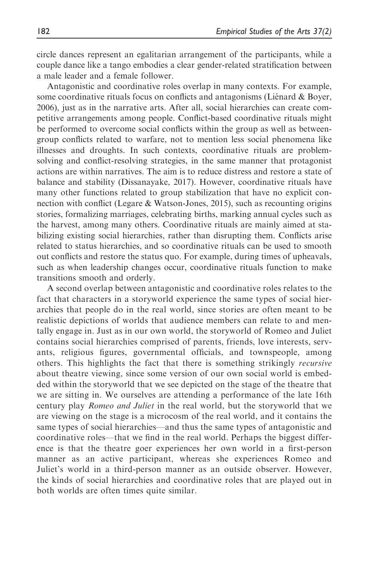circle dances represent an egalitarian arrangement of the participants, while a couple dance like a tango embodies a clear gender-related stratification between a male leader and a female follower.

Antagonistic and coordinative roles overlap in many contexts. For example, some coordinative rituals focus on conflicts and antagonisms (Liénard  $\&$  Boyer, 2006), just as in the narrative arts. After all, social hierarchies can create competitive arrangements among people. Conflict-based coordinative rituals might be performed to overcome social conflicts within the group as well as betweengroup conflicts related to warfare, not to mention less social phenomena like illnesses and droughts. In such contexts, coordinative rituals are problemsolving and conflict-resolving strategies, in the same manner that protagonist actions are within narratives. The aim is to reduce distress and restore a state of balance and stability (Dissanayake, 2017). However, coordinative rituals have many other functions related to group stabilization that have no explicit connection with conflict (Legare & Watson-Jones, 2015), such as recounting origins stories, formalizing marriages, celebrating births, marking annual cycles such as the harvest, among many others. Coordinative rituals are mainly aimed at stabilizing existing social hierarchies, rather than disrupting them. Conflicts arise related to status hierarchies, and so coordinative rituals can be used to smooth out conflicts and restore the status quo. For example, during times of upheavals, such as when leadership changes occur, coordinative rituals function to make transitions smooth and orderly.

A second overlap between antagonistic and coordinative roles relates to the fact that characters in a storyworld experience the same types of social hierarchies that people do in the real world, since stories are often meant to be realistic depictions of worlds that audience members can relate to and mentally engage in. Just as in our own world, the storyworld of Romeo and Juliet contains social hierarchies comprised of parents, friends, love interests, servants, religious figures, governmental officials, and townspeople, among others. This highlights the fact that there is something strikingly recursive about theatre viewing, since some version of our own social world is embedded within the storyworld that we see depicted on the stage of the theatre that we are sitting in. We ourselves are attending a performance of the late 16th century play Romeo and Juliet in the real world, but the storyworld that we are viewing on the stage is a microcosm of the real world, and it contains the same types of social hierarchies—and thus the same types of antagonistic and coordinative roles—that we find in the real world. Perhaps the biggest difference is that the theatre goer experiences her own world in a first-person manner as an active participant, whereas she experiences Romeo and Juliet's world in a third-person manner as an outside observer. However, the kinds of social hierarchies and coordinative roles that are played out in both worlds are often times quite similar.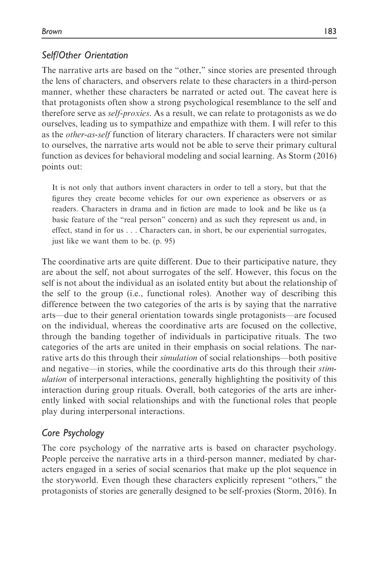# Self/Other Orientation

The narrative arts are based on the "other," since stories are presented through the lens of characters, and observers relate to these characters in a third-person manner, whether these characters be narrated or acted out. The caveat here is that protagonists often show a strong psychological resemblance to the self and therefore serve as self-proxies. As a result, we can relate to protagonists as we do ourselves, leading us to sympathize and empathize with them. I will refer to this as the other-as-self function of literary characters. If characters were not similar to ourselves, the narrative arts would not be able to serve their primary cultural function as devices for behavioral modeling and social learning. As Storm (2016) points out:

It is not only that authors invent characters in order to tell a story, but that the figures they create become vehicles for our own experience as observers or as readers. Characters in drama and in fiction are made to look and be like us (a basic feature of the "real person" concern) and as such they represent us and, in effect, stand in for us . . . Characters can, in short, be our experiential surrogates, just like we want them to be. (p. 95)

The coordinative arts are quite different. Due to their participative nature, they are about the self, not about surrogates of the self. However, this focus on the self is not about the individual as an isolated entity but about the relationship of the self to the group (i.e., functional roles). Another way of describing this difference between the two categories of the arts is by saying that the narrative arts—due to their general orientation towards single protagonists—are focused on the individual, whereas the coordinative arts are focused on the collective, through the banding together of individuals in participative rituals. The two categories of the arts are united in their emphasis on social relations. The narrative arts do this through their *simulation* of social relationships—both positive and negative—in stories, while the coordinative arts do this through their stimulation of interpersonal interactions, generally highlighting the positivity of this interaction during group rituals. Overall, both categories of the arts are inherently linked with social relationships and with the functional roles that people play during interpersonal interactions.

# Core Psychology

The core psychology of the narrative arts is based on character psychology. People perceive the narrative arts in a third-person manner, mediated by characters engaged in a series of social scenarios that make up the plot sequence in the storyworld. Even though these characters explicitly represent "others," the protagonists of stories are generally designed to be self-proxies (Storm, 2016). In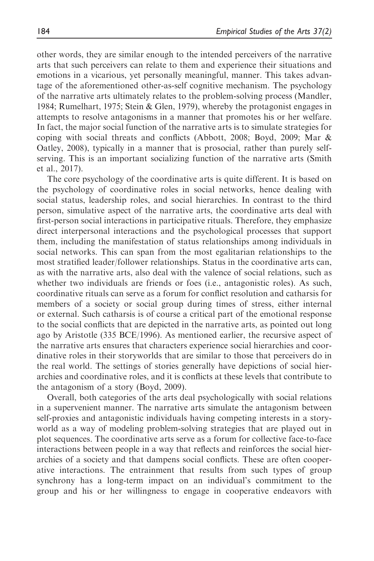other words, they are similar enough to the intended perceivers of the narrative arts that such perceivers can relate to them and experience their situations and emotions in a vicarious, yet personally meaningful, manner. This takes advantage of the aforementioned other-as-self cognitive mechanism. The psychology of the narrative arts ultimately relates to the problem-solving process (Mandler, 1984; Rumelhart, 1975; Stein & Glen, 1979), whereby the protagonist engages in attempts to resolve antagonisms in a manner that promotes his or her welfare. In fact, the major social function of the narrative arts is to simulate strategies for coping with social threats and conflicts (Abbott, 2008; Boyd, 2009; Mar & Oatley, 2008), typically in a manner that is prosocial, rather than purely selfserving. This is an important socializing function of the narrative arts (Smith et al., 2017).

The core psychology of the coordinative arts is quite different. It is based on the psychology of coordinative roles in social networks, hence dealing with social status, leadership roles, and social hierarchies. In contrast to the third person, simulative aspect of the narrative arts, the coordinative arts deal with first-person social interactions in participative rituals. Therefore, they emphasize direct interpersonal interactions and the psychological processes that support them, including the manifestation of status relationships among individuals in social networks. This can span from the most egalitarian relationships to the most stratified leader/follower relationships. Status in the coordinative arts can, as with the narrative arts, also deal with the valence of social relations, such as whether two individuals are friends or foes (i.e., antagonistic roles). As such, coordinative rituals can serve as a forum for conflict resolution and catharsis for members of a society or social group during times of stress, either internal or external. Such catharsis is of course a critical part of the emotional response to the social conflicts that are depicted in the narrative arts, as pointed out long ago by Aristotle (335 BCE/1996). As mentioned earlier, the recursive aspect of the narrative arts ensures that characters experience social hierarchies and coordinative roles in their storyworlds that are similar to those that perceivers do in the real world. The settings of stories generally have depictions of social hierarchies and coordinative roles, and it is conflicts at these levels that contribute to the antagonism of a story (Boyd, 2009).

Overall, both categories of the arts deal psychologically with social relations in a supervenient manner. The narrative arts simulate the antagonism between self-proxies and antagonistic individuals having competing interests in a storyworld as a way of modeling problem-solving strategies that are played out in plot sequences. The coordinative arts serve as a forum for collective face-to-face interactions between people in a way that reflects and reinforces the social hierarchies of a society and that dampens social conflicts. These are often cooperative interactions. The entrainment that results from such types of group synchrony has a long-term impact on an individual's commitment to the group and his or her willingness to engage in cooperative endeavors with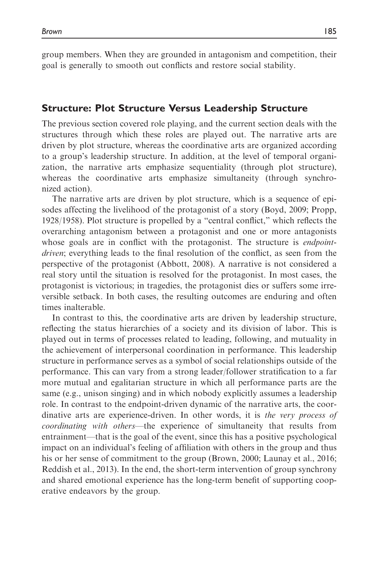group members. When they are grounded in antagonism and competition, their goal is generally to smooth out conflicts and restore social stability.

### Structure: Plot Structure Versus Leadership Structure

The previous section covered role playing, and the current section deals with the structures through which these roles are played out. The narrative arts are driven by plot structure, whereas the coordinative arts are organized according to a group's leadership structure. In addition, at the level of temporal organization, the narrative arts emphasize sequentiality (through plot structure), whereas the coordinative arts emphasize simultaneity (through synchronized action).

The narrative arts are driven by plot structure, which is a sequence of episodes affecting the livelihood of the protagonist of a story (Boyd, 2009; Propp, 1928/1958). Plot structure is propelled by a "central conflict," which reflects the overarching antagonism between a protagonist and one or more antagonists whose goals are in conflict with the protagonist. The structure is *endpoint*driven; everything leads to the final resolution of the conflict, as seen from the perspective of the protagonist (Abbott, 2008). A narrative is not considered a real story until the situation is resolved for the protagonist. In most cases, the protagonist is victorious; in tragedies, the protagonist dies or suffers some irreversible setback. In both cases, the resulting outcomes are enduring and often times inalterable.

In contrast to this, the coordinative arts are driven by leadership structure, reflecting the status hierarchies of a society and its division of labor. This is played out in terms of processes related to leading, following, and mutuality in the achievement of interpersonal coordination in performance. This leadership structure in performance serves as a symbol of social relationships outside of the performance. This can vary from a strong leader/follower stratification to a far more mutual and egalitarian structure in which all performance parts are the same (e.g., unison singing) and in which nobody explicitly assumes a leadership role. In contrast to the endpoint-driven dynamic of the narrative arts, the coordinative arts are experience-driven. In other words, it is the very process of coordinating with others—the experience of simultaneity that results from entrainment—that is the goal of the event, since this has a positive psychological impact on an individual's feeling of affiliation with others in the group and thus his or her sense of commitment to the group (Brown, 2000; Launay et al., 2016; Reddish et al., 2013). In the end, the short-term intervention of group synchrony and shared emotional experience has the long-term benefit of supporting cooperative endeavors by the group.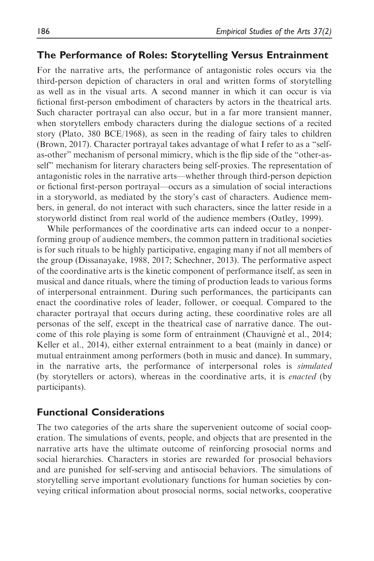### The Performance of Roles: Storytelling Versus Entrainment

For the narrative arts, the performance of antagonistic roles occurs via the third-person depiction of characters in oral and written forms of storytelling as well as in the visual arts. A second manner in which it can occur is via fictional first-person embodiment of characters by actors in the theatrical arts. Such character portrayal can also occur, but in a far more transient manner, when storytellers embody characters during the dialogue sections of a recited story (Plato, 380 BCE/1968), as seen in the reading of fairy tales to children (Brown, 2017). Character portrayal takes advantage of what I refer to as a "selfas-other" mechanism of personal mimicry, which is the flip side of the "other-asself" mechanism for literary characters being self-proxies. The representation of antagonistic roles in the narrative arts—whether through third-person depiction or fictional first-person portrayal—occurs as a simulation of social interactions in a storyworld, as mediated by the story's cast of characters. Audience members, in general, do not interact with such characters, since the latter reside in a storyworld distinct from real world of the audience members (Oatley, 1999).

While performances of the coordinative arts can indeed occur to a nonperforming group of audience members, the common pattern in traditional societies is for such rituals to be highly participative, engaging many if not all members of the group (Dissanayake, 1988, 2017; Schechner, 2013). The performative aspect of the coordinative arts is the kinetic component of performance itself, as seen in musical and dance rituals, where the timing of production leads to various forms of interpersonal entrainment. During such performances, the participants can enact the coordinative roles of leader, follower, or coequal. Compared to the character portrayal that occurs during acting, these coordinative roles are all personas of the self, except in the theatrical case of narrative dance. The outcome of this role playing is some form of entrainment (Chauvigné et al., 2014; Keller et al., 2014), either external entrainment to a beat (mainly in dance) or mutual entrainment among performers (both in music and dance). In summary, in the narrative arts, the performance of interpersonal roles is simulated (by storytellers or actors), whereas in the coordinative arts, it is enacted (by participants).

## Functional Considerations

The two categories of the arts share the supervenient outcome of social cooperation. The simulations of events, people, and objects that are presented in the narrative arts have the ultimate outcome of reinforcing prosocial norms and social hierarchies. Characters in stories are rewarded for prosocial behaviors and are punished for self-serving and antisocial behaviors. The simulations of storytelling serve important evolutionary functions for human societies by conveying critical information about prosocial norms, social networks, cooperative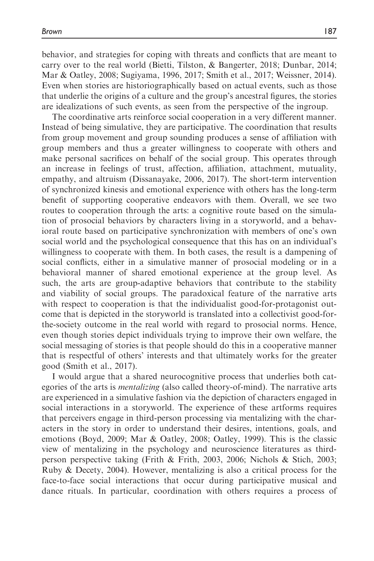behavior, and strategies for coping with threats and conflicts that are meant to carry over to the real world (Bietti, Tilston, & Bangerter, 2018; Dunbar, 2014; Mar & Oatley, 2008; Sugiyama, 1996, 2017; Smith et al., 2017; Weissner, 2014). Even when stories are historiographically based on actual events, such as those that underlie the origins of a culture and the group's ancestral figures, the stories are idealizations of such events, as seen from the perspective of the ingroup.

The coordinative arts reinforce social cooperation in a very different manner. Instead of being simulative, they are participative. The coordination that results from group movement and group sounding produces a sense of affiliation with group members and thus a greater willingness to cooperate with others and make personal sacrifices on behalf of the social group. This operates through an increase in feelings of trust, affection, affiliation, attachment, mutuality, empathy, and altruism (Dissanayake, 2006, 2017). The short-term intervention of synchronized kinesis and emotional experience with others has the long-term benefit of supporting cooperative endeavors with them. Overall, we see two routes to cooperation through the arts: a cognitive route based on the simulation of prosocial behaviors by characters living in a storyworld, and a behavioral route based on participative synchronization with members of one's own social world and the psychological consequence that this has on an individual's willingness to cooperate with them. In both cases, the result is a dampening of social conflicts, either in a simulative manner of prosocial modeling or in a behavioral manner of shared emotional experience at the group level. As such, the arts are group-adaptive behaviors that contribute to the stability and viability of social groups. The paradoxical feature of the narrative arts with respect to cooperation is that the individualist good-for-protagonist outcome that is depicted in the storyworld is translated into a collectivist good-forthe-society outcome in the real world with regard to prosocial norms. Hence, even though stories depict individuals trying to improve their own welfare, the social messaging of stories is that people should do this in a cooperative manner that is respectful of others' interests and that ultimately works for the greater good (Smith et al., 2017).

I would argue that a shared neurocognitive process that underlies both categories of the arts is mentalizing (also called theory-of-mind). The narrative arts are experienced in a simulative fashion via the depiction of characters engaged in social interactions in a storyworld. The experience of these artforms requires that perceivers engage in third-person processing via mentalizing with the characters in the story in order to understand their desires, intentions, goals, and emotions (Boyd, 2009; Mar & Oatley, 2008; Oatley, 1999). This is the classic view of mentalizing in the psychology and neuroscience literatures as thirdperson perspective taking (Frith & Frith, 2003, 2006; Nichols & Stich, 2003; Ruby & Decety, 2004). However, mentalizing is also a critical process for the face-to-face social interactions that occur during participative musical and dance rituals. In particular, coordination with others requires a process of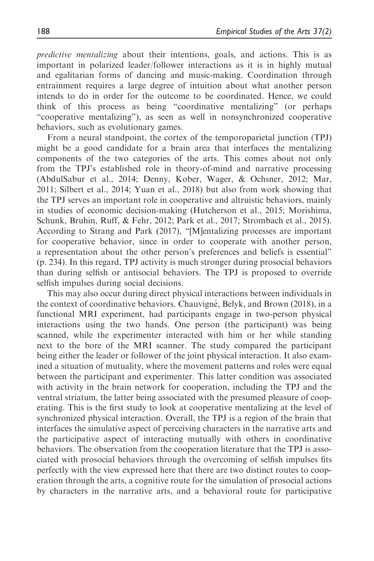predictive mentalizing about their intentions, goals, and actions. This is as important in polarized leader/follower interactions as it is in highly mutual and egalitarian forms of dancing and music-making. Coordination through entrainment requires a large degree of intuition about what another person intends to do in order for the outcome to be coordinated. Hence, we could think of this process as being "coordinative mentalizing" (or perhaps "cooperative mentalizing"), as seen as well in nonsynchronized cooperative behaviors, such as evolutionary games.

From a neural standpoint, the cortex of the temporoparietal junction (TPJ) might be a good candidate for a brain area that interfaces the mentalizing components of the two categories of the arts. This comes about not only from the TPJ's established role in theory-of-mind and narrative processing (AbdulSabur et al., 2014; Denny, Kober, Wager, & Ochsner, 2012; Mar, 2011; Silbert et al., 2014; Yuan et al., 2018) but also from work showing that the TPJ serves an important role in cooperative and altruistic behaviors, mainly in studies of economic decision-making (Hutcherson et al., 2015; Morishima, Schunk, Bruhin, Ruff, & Fehr, 2012; Park et al., 2017; Strombach et al., 2015). According to Strang and Park (2017), "[M]entalizing processes are important for cooperative behavior, since in order to cooperate with another person, a representation about the other person's preferences and beliefs is essential" (p. 234). In this regard, TPJ activity is much stronger during prosocial behaviors than during selfish or antisocial behaviors. The TPJ is proposed to override selfish impulses during social decisions.

This may also occur during direct physical interactions between individuals in the context of coordinative behaviors. Chauvigné, Belyk, and Brown (2018), in a functional MRI experiment, had participants engage in two-person physical interactions using the two hands. One person (the participant) was being scanned, while the experimenter interacted with him or her while standing next to the bore of the MRI scanner. The study compared the participant being either the leader or follower of the joint physical interaction. It also examined a situation of mutuality, where the movement patterns and roles were equal between the participant and experimenter. This latter condition was associated with activity in the brain network for cooperation, including the TPJ and the ventral striatum, the latter being associated with the presumed pleasure of cooperating. This is the first study to look at cooperative mentalizing at the level of synchronized physical interaction. Overall, the TPJ is a region of the brain that interfaces the simulative aspect of perceiving characters in the narrative arts and the participative aspect of interacting mutually with others in coordinative behaviors. The observation from the cooperation literature that the TPJ is associated with prosocial behaviors through the overcoming of selfish impulses fits perfectly with the view expressed here that there are two distinct routes to cooperation through the arts, a cognitive route for the simulation of prosocial actions by characters in the narrative arts, and a behavioral route for participative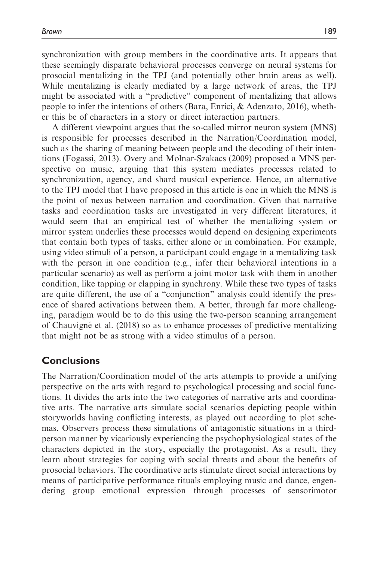synchronization with group members in the coordinative arts. It appears that these seemingly disparate behavioral processes converge on neural systems for prosocial mentalizing in the TPJ (and potentially other brain areas as well). While mentalizing is clearly mediated by a large network of areas, the TPJ might be associated with a "predictive" component of mentalizing that allows people to infer the intentions of others (Bara, Enrici, & Adenzato, 2016), whether this be of characters in a story or direct interaction partners.

A different viewpoint argues that the so-called mirror neuron system (MNS) is responsible for processes described in the Narration/Coordination model, such as the sharing of meaning between people and the decoding of their intentions (Fogassi, 2013). Overy and Molnar-Szakacs (2009) proposed a MNS perspective on music, arguing that this system mediates processes related to synchronization, agency, and shard musical experience. Hence, an alternative to the TPJ model that I have proposed in this article is one in which the MNS is the point of nexus between narration and coordination. Given that narrative tasks and coordination tasks are investigated in very different literatures, it would seem that an empirical test of whether the mentalizing system or mirror system underlies these processes would depend on designing experiments that contain both types of tasks, either alone or in combination. For example, using video stimuli of a person, a participant could engage in a mentalizing task with the person in one condition (e.g., infer their behavioral intentions in a particular scenario) as well as perform a joint motor task with them in another condition, like tapping or clapping in synchrony. While these two types of tasks are quite different, the use of a "conjunction" analysis could identify the presence of shared activations between them. A better, through far more challenging, paradigm would be to do this using the two-person scanning arrangement of Chauvigne´ et al. (2018) so as to enhance processes of predictive mentalizing that might not be as strong with a video stimulus of a person.

## Conclusions

The Narration/Coordination model of the arts attempts to provide a unifying perspective on the arts with regard to psychological processing and social functions. It divides the arts into the two categories of narrative arts and coordinative arts. The narrative arts simulate social scenarios depicting people within storyworlds having conflicting interests, as played out according to plot schemas. Observers process these simulations of antagonistic situations in a thirdperson manner by vicariously experiencing the psychophysiological states of the characters depicted in the story, especially the protagonist. As a result, they learn about strategies for coping with social threats and about the benefits of prosocial behaviors. The coordinative arts stimulate direct social interactions by means of participative performance rituals employing music and dance, engendering group emotional expression through processes of sensorimotor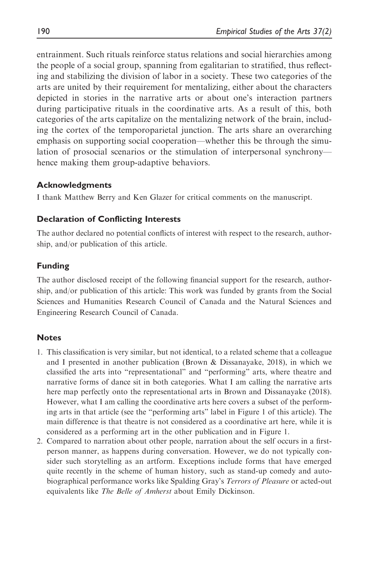entrainment. Such rituals reinforce status relations and social hierarchies among the people of a social group, spanning from egalitarian to stratified, thus reflecting and stabilizing the division of labor in a society. These two categories of the arts are united by their requirement for mentalizing, either about the characters depicted in stories in the narrative arts or about one's interaction partners during participative rituals in the coordinative arts. As a result of this, both categories of the arts capitalize on the mentalizing network of the brain, including the cortex of the temporoparietal junction. The arts share an overarching emphasis on supporting social cooperation—whether this be through the simulation of prosocial scenarios or the stimulation of interpersonal synchrony hence making them group-adaptive behaviors.

#### Acknowledgments

I thank Matthew Berry and Ken Glazer for critical comments on the manuscript.

#### Declaration of Conflicting Interests

The author declared no potential conflicts of interest with respect to the research, authorship, and/or publication of this article.

#### Funding

The author disclosed receipt of the following financial support for the research, authorship, and/or publication of this article: This work was funded by grants from the Social Sciences and Humanities Research Council of Canada and the Natural Sciences and Engineering Research Council of Canada.

#### **Notes**

- 1. This classification is very similar, but not identical, to a related scheme that a colleague and I presented in another publication (Brown & Dissanayake, 2018), in which we classified the arts into "representational" and "performing" arts, where theatre and narrative forms of dance sit in both categories. What I am calling the narrative arts here map perfectly onto the representational arts in Brown and Dissanayake (2018). However, what I am calling the coordinative arts here covers a subset of the performing arts in that article (see the "performing arts" label in Figure 1 of this article). The main difference is that theatre is not considered as a coordinative art here, while it is considered as a performing art in the other publication and in Figure 1.
- 2. Compared to narration about other people, narration about the self occurs in a firstperson manner, as happens during conversation. However, we do not typically consider such storytelling as an artform. Exceptions include forms that have emerged quite recently in the scheme of human history, such as stand-up comedy and autobiographical performance works like Spalding Gray's Terrors of Pleasure or acted-out equivalents like The Belle of Amherst about Emily Dickinson.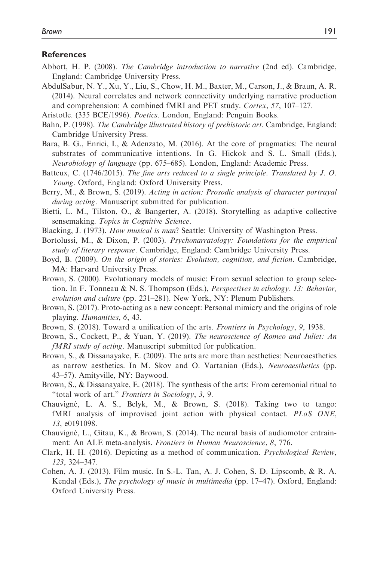#### References

Abbott, H. P. (2008). The Cambridge introduction to narrative (2nd ed). Cambridge, England: Cambridge University Press.

AbdulSabur, N. Y., Xu, Y., Liu, S., Chow, H. M., Baxter, M., Carson, J., & Braun, A. R. (2014). Neural correlates and network connectivity underlying narrative production and comprehension: A combined fMRI and PET study. Cortex, 57, 107–127.

Aristotle. (335 BCE/1996). Poetics. London, England: Penguin Books.

- Bahn, P. (1998). The Cambridge illustrated history of prehistoric art. Cambridge, England: Cambridge University Press.
- Bara, B. G., Enrici, I., & Adenzato, M. (2016). At the core of pragmatics: The neural substrates of communicative intentions. In G. Hickok and S. L. Small (Eds.), Neurobiology of language (pp. 675–685). London, England: Academic Press.
- Batteux, C. (1746/2015). The fine arts reduced to a single principle. Translated by J. O. Young. Oxford, England: Oxford University Press.
- Berry, M., & Brown, S. (2019). Acting in action: Prosodic analysis of character portrayal during acting. Manuscript submitted for publication.
- Bietti, L. M., Tilston, O., & Bangerter, A. (2018). Storytelling as adaptive collective sensemaking. Topics in Cognitive Science.
- Blacking, J. (1973). How musical is man? Seattle: University of Washington Press.
- Bortolussi, M., & Dixon, P. (2003). Psychonarratology: Foundations for the empirical study of literary response. Cambridge, England: Cambridge University Press.
- Boyd, B. (2009). On the origin of stories: Evolution, cognition, and fiction. Cambridge, MA: Harvard University Press.
- Brown, S. (2000). Evolutionary models of music: From sexual selection to group selection. In F. Tonneau & N. S. Thompson (Eds.), Perspectives in ethology. 13: Behavior, evolution and culture (pp. 231–281). New York, NY: Plenum Publishers.
- Brown, S. (2017). Proto-acting as a new concept: Personal mimicry and the origins of role playing. Humanities, 6, 43.
- Brown, S. (2018). Toward a unification of the arts. Frontiers in Psychology, 9, 1938.
- Brown, S., Cockett, P., & Yuan, Y. (2019). The neuroscience of Romeo and Juliet: An fMRI study of acting. Manuscript submitted for publication.
- Brown, S., & Dissanayake, E. (2009). The arts are more than aesthetics: Neuroaesthetics as narrow aesthetics. In M. Skov and O. Vartanian (Eds.), Neuroaesthetics (pp. 43–57). Amityville, NY: Baywood.
- Brown, S., & Dissanayake, E. (2018). The synthesis of the arts: From ceremonial ritual to "total work of art." Frontiers in Sociology, 3, 9.
- Chauvigne´, L. A. S., Belyk, M., & Brown, S. (2018). Taking two to tango: fMRI analysis of improvised joint action with physical contact. PLoS ONE, 13, e0191098.
- Chauvigné, L., Gitau, K., & Brown, S. (2014). The neural basis of audiomotor entrainment: An ALE meta-analysis. *Frontiers in Human Neuroscience*, 8, 776.
- Clark, H. H. (2016). Depicting as a method of communication. Psychological Review, 123, 324–347.
- Cohen, A. J. (2013). Film music. In S.-L. Tan, A. J. Cohen, S. D. Lipscomb, & R. A. Kendal (Eds.), *The psychology of music in multimedia* (pp. 17–47). Oxford, England: Oxford University Press.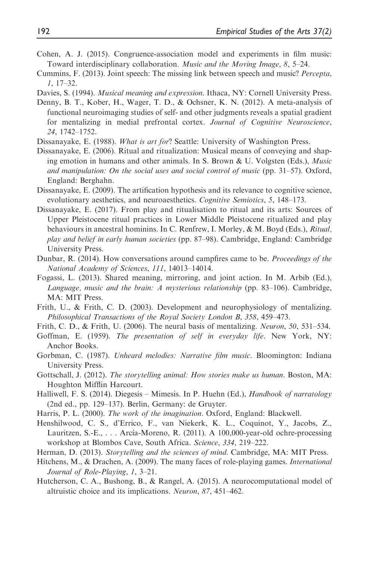- Cohen, A. J. (2015). Congruence-association model and experiments in film music: Toward interdisciplinary collaboration. Music and the Moving Image, 8, 5–24.
- Cummins, F. (2013). Joint speech: The missing link between speech and music? Percepta, 1, 17–32.
- Davies, S. (1994). Musical meaning and expression. Ithaca, NY: Cornell University Press.
- Denny, B. T., Kober, H., Wager, T. D., & Ochsner, K. N. (2012). A meta-analysis of functional neuroimaging studies of self- and other judgments reveals a spatial gradient for mentalizing in medial prefrontal cortex. Journal of Cognitive Neuroscience, 24, 1742–1752.
- Dissanayake, E. (1988). What is art for? Seattle: University of Washington Press.
- Dissanayake, E. (2006). Ritual and ritualization: Musical means of conveying and shaping emotion in humans and other animals. In S. Brown & U. Volgsten (Eds.), Music and manipulation: On the social uses and social control of music (pp. 31–57). Oxford, England: Berghahn.
- Dissanayake, E. (2009). The artification hypothesis and its relevance to cognitive science, evolutionary aesthetics, and neuroaesthetics. Cognitive Semiotics, 5, 148-173.
- Dissanayake, E. (2017). From play and ritualisation to ritual and its arts: Sources of Upper Pleistocene ritual practices in Lower Middle Pleistocene ritualized and play behaviours in ancestral hominins. In C. Renfrew, I. Morley, & M. Boyd (Eds.), Ritual, play and belief in early human societies (pp. 87–98). Cambridge, England: Cambridge University Press.
- Dunbar, R. (2014). How conversations around campfires came to be. Proceedings of the National Academy of Sciences, 111, 14013–14014.
- Fogassi, L. (2013). Shared meaning, mirroring, and joint action. In M. Arbib (Ed.), Language, music and the brain: A mysterious relationship (pp. 83–106). Cambridge, MA: MIT Press.
- Frith, U., & Frith, C. D. (2003). Development and neurophysiology of mentalizing. Philosophical Transactions of the Royal Society London B, 358, 459–473.
- Frith, C. D., & Frith, U. (2006). The neural basis of mentalizing. *Neuron*, 50, 531–534.
- Goffman, E. (1959). The presentation of self in everyday life. New York, NY: Anchor Books.
- Gorbman, C. (1987). Unheard melodies: Narrative film music. Bloomington: Indiana University Press.
- Gottschall, J. (2012). The storytelling animal: How stories make us human. Boston, MA: Houghton Mifflin Harcourt.
- Halliwell, F. S. (2014). Diegesis Mimesis. In P. Huehn (Ed.), Handbook of narratology (2nd ed., pp. 129–137). Berlin, Germany: de Gruyter.
- Harris, P. L. (2000). The work of the imagination. Oxford, England: Blackwell.
- Henshilwood, C. S., d'Errico, F., van Niekerk, K. L., Coquinot, Y., Jacobs, Z., Lauritzen, S.-E., ... Arcía-Moreno, R. (2011). A 100,000-year-old ochre-processing workshop at Blombos Cave, South Africa. Science, 334, 219–222.
- Herman, D. (2013). Storytelling and the sciences of mind. Cambridge, MA: MIT Press.
- Hitchens, M., & Drachen, A. (2009). The many faces of role-playing games. International Journal of Role-Playing, 1, 3–21.
- Hutcherson, C. A., Bushong, B., & Rangel, A. (2015). A neurocomputational model of altruistic choice and its implications. Neuron, 87, 451–462.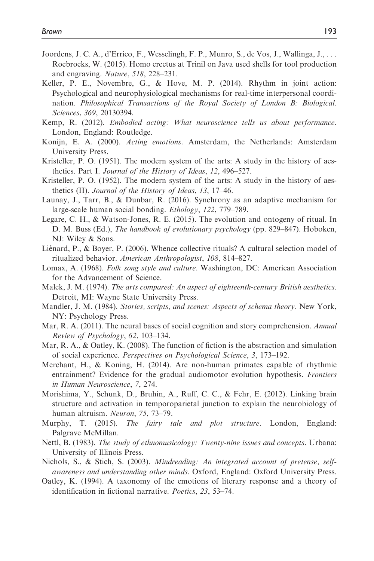- Joordens, J. C. A., d'Errico, F., Wesselingh, F. P., Munro, S., de Vos, J., Wallinga, J., . . . Roebroeks, W. (2015). Homo erectus at Trinil on Java used shells for tool production and engraving. Nature, 518, 228-231.
- Keller, P. E., Novembre, G., & Hove, M. P. (2014). Rhythm in joint action: Psychological and neurophysiological mechanisms for real-time interpersonal coordination. Philosophical Transactions of the Royal Society of London B: Biological. Sciences, 369, 20130394.
- Kemp, R. (2012). Embodied acting: What neuroscience tells us about performance. London, England: Routledge.
- Konijn, E. A. (2000). Acting emotions. Amsterdam, the Netherlands: Amsterdam University Press.
- Kristeller, P. O. (1951). The modern system of the arts: A study in the history of aesthetics. Part I. Journal of the History of Ideas, 12, 496–527.
- Kristeller, P. O. (1952). The modern system of the arts: A study in the history of aesthetics (II). Journal of the History of Ideas, 13, 17–46.
- Launay, J., Tarr, B., & Dunbar, R. (2016). Synchrony as an adaptive mechanism for large-scale human social bonding. Ethology, 122, 779–789.
- Legare, C. H., & Watson-Jones, R. E. (2015). The evolution and ontogeny of ritual. In D. M. Buss (Ed.), The handbook of evolutionary psychology (pp. 829–847). Hoboken, NJ: Wiley & Sons.
- Liénard, P., & Boyer, P. (2006). Whence collective rituals? A cultural selection model of ritualized behavior. American Anthropologist, 108, 814–827.
- Lomax, A. (1968). Folk song style and culture. Washington, DC: American Association for the Advancement of Science.
- Malek, J. M. (1974). The arts compared: An aspect of eighteenth-century British aesthetics. Detroit, MI: Wayne State University Press.
- Mandler, J. M. (1984). Stories, scripts, and scenes: Aspects of schema theory. New York, NY: Psychology Press.
- Mar, R. A. (2011). The neural bases of social cognition and story comprehension. *Annual* Review of Psychology, 62, 103–134.
- Mar, R. A., & Oatley, K. (2008). The function of fiction is the abstraction and simulation of social experience. Perspectives on Psychological Science, 3, 173–192.
- Merchant, H., & Koning, H. (2014). Are non-human primates capable of rhythmic entrainment? Evidence for the gradual audiomotor evolution hypothesis. *Frontiers* in Human Neuroscience, 7, 274.
- Morishima, Y., Schunk, D., Bruhin, A., Ruff, C. C., & Fehr, E. (2012). Linking brain structure and activation in temporoparietal junction to explain the neurobiology of human altruism. Neuron, 75, 73–79.
- Murphy, T. (2015). The fairy tale and plot structure. London, England: Palgrave McMillan.
- Nettl, B. (1983). The study of ethnomusicology: Twenty-nine issues and concepts. Urbana: University of Illinois Press.
- Nichols, S., & Stich, S. (2003). Mindreading: An integrated account of pretense, selfawareness and understanding other minds. Oxford, England: Oxford University Press.
- Oatley, K. (1994). A taxonomy of the emotions of literary response and a theory of identification in fictional narrative. Poetics, 23, 53–74.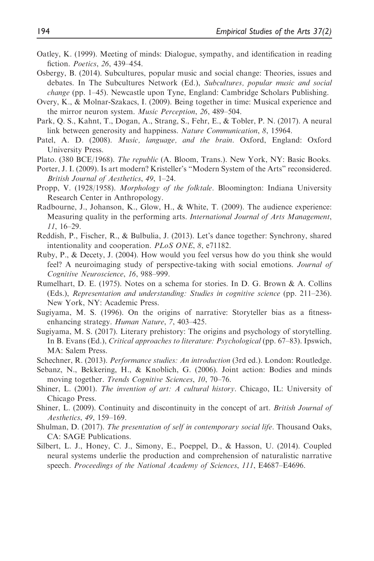- Oatley, K. (1999). Meeting of minds: Dialogue, sympathy, and identification in reading fiction. Poetics, 26, 439–454.
- Osbergy, B. (2014). Subcultures, popular music and social change: Theories, issues and debates. In The Subcultures Network (Ed.), Subcultures, popular music and social change (pp. 1–45). Newcastle upon Tyne, England: Cambridge Scholars Publishing.
- Overy, K., & Molnar-Szakacs, I. (2009). Being together in time: Musical experience and the mirror neuron system. Music Perception, 26, 489–504.
- Park, Q. S., Kahnt, T., Dogan, A., Strang, S., Fehr, E., & Tobler, P. N. (2017). A neural link between generosity and happiness. Nature Communication, 8, 15964.
- Patel, A. D. (2008). *Music, language, and the brain*. Oxford, England: Oxford University Press.
- Plato. (380 BCE/1968). The republic (A. Bloom, Trans.). New York, NY: Basic Books.
- Porter, J. I. (2009). Is art modern? Kristeller's "Modern System of the Arts" reconsidered. British Journal of Aesthetics, 49, 1–24.
- Propp, V. (1928/1958). *Morphology of the folktale*. Bloomington: Indiana University Research Center in Anthropology.
- Radbourne, J., Johanson, K., Glow, H., & White, T. (2009). The audience experience: Measuring quality in the performing arts. *International Journal of Arts Management*, 11, 16–29.
- Reddish, P., Fischer, R., & Bulbulia, J. (2013). Let's dance together: Synchrony, shared intentionality and cooperation. PLoS ONE, 8, e71182.
- Ruby, P., & Decety, J. (2004). How would you feel versus how do you think she would feel? A neuroimaging study of perspective-taking with social emotions. Journal of Cognitive Neuroscience, 16, 988–999.
- Rumelhart, D. E. (1975). Notes on a schema for stories. In D. G. Brown & A. Collins (Eds.), Representation and understanding: Studies in cognitive science (pp. 211–236). New York, NY: Academic Press.
- Sugiyama, M. S. (1996). On the origins of narrative: Storyteller bias as a fitnessenhancing strategy. Human Nature, 7, 403–425.
- Sugiyama, M. S. (2017). Literary prehistory: The origins and psychology of storytelling. In B. Evans (Ed.), Critical approaches to literature: Psychological (pp. 67–83). Ipswich, MA: Salem Press.
- Schechner, R. (2013). Performance studies: An introduction (3rd ed.). London: Routledge.
- Sebanz, N., Bekkering, H., & Knoblich, G. (2006). Joint action: Bodies and minds moving together. Trends Cognitive Sciences, 10, 70–76.
- Shiner, L. (2001). The invention of art: A cultural history. Chicago, IL: University of Chicago Press.
- Shiner, L. (2009). Continuity and discontinuity in the concept of art. British Journal of Aesthetics, 49, 159–169.
- Shulman, D. (2017). The presentation of self in contemporary social life. Thousand Oaks, CA: SAGE Publications.
- Silbert, L. J., Honey, C. J., Simony, E., Poeppel, D., & Hasson, U. (2014). Coupled neural systems underlie the production and comprehension of naturalistic narrative speech. Proceedings of the National Academy of Sciences, 111, E4687–E4696.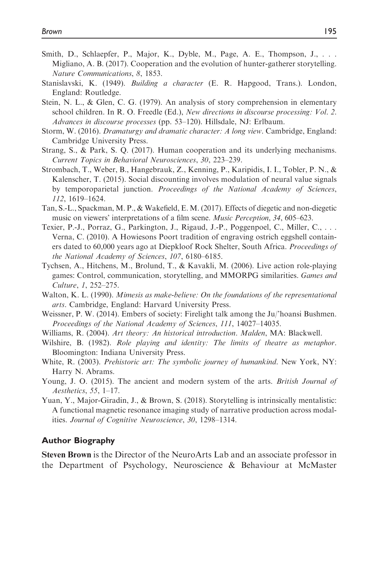- Smith, D., Schlaepfer, P., Major, K., Dyble, M., Page, A. E., Thompson, J., ... Migliano, A. B. (2017). Cooperation and the evolution of hunter-gatherer storytelling. Nature Communications, 8, 1853.
- Stanislavski, K. (1949). Building a character (E. R. Hapgood, Trans.). London, England: Routledge.
- Stein, N. L., & Glen, C. G. (1979). An analysis of story comprehension in elementary school children. In R. O. Freedle (Ed.), New directions in discourse processing: Vol. 2. Advances in discourse processes (pp. 53–120). Hillsdale, NJ: Erlbaum.
- Storm, W. (2016). Dramaturgy and dramatic character: A long view. Cambridge, England: Cambridge University Press.
- Strang, S., & Park, S. Q. (2017). Human cooperation and its underlying mechanisms. Current Topics in Behavioral Neurosciences, 30, 223–239.
- Strombach, T., Weber, B., Hangebrauk, Z., Kenning, P., Karipidis, I. I., Tobler, P. N., & Kalenscher, T. (2015). Social discounting involves modulation of neural value signals by temporoparietal junction. Proceedings of the National Academy of Sciences, 112, 1619–1624.
- Tan, S.-L., Spackman, M. P., & Wakefield, E. M. (2017). Effects of diegetic and non-diegetic music on viewers' interpretations of a film scene. Music Perception, 34, 605–623.
- Texier, P.-J., Porraz, G., Parkington, J., Rigaud, J.-P., Poggenpoel, C., Miller, C., . . . Verna, C. (2010). A Howiesons Poort tradition of engraving ostrich eggshell containers dated to 60,000 years ago at Diepkloof Rock Shelter, South Africa. Proceedings of the National Academy of Sciences, 107, 6180–6185.
- Tychsen, A., Hitchens, M., Brolund, T., & Kavakli, M. (2006). Live action role-playing games: Control, communication, storytelling, and MMORPG similarities. Games and Culture, 1, 252–275.
- Walton, K. L. (1990). Mimesis as make-believe: On the foundations of the representational arts. Cambridge, England: Harvard University Press.
- Weissner, P. W. (2014). Embers of society: Firelight talk among the Ju/'hoansi Bushmen. Proceedings of the National Academy of Sciences, 111, 14027–14035.
- Williams, R. (2004). Art theory: An historical introduction. Malden, MA: Blackwell.
- Wilshire, B. (1982). Role playing and identity: The limits of theatre as metaphor. Bloomington: Indiana University Press.
- White, R. (2003). Prehistoric art: The symbolic journey of humankind. New York, NY: Harry N. Abrams.
- Young, J. O. (2015). The ancient and modern system of the arts. *British Journal of* Aesthetics, 55, 1–17.
- Yuan, Y., Major-Giradin, J., & Brown, S. (2018). Storytelling is intrinsically mentalistic: A functional magnetic resonance imaging study of narrative production across modalities. Journal of Cognitive Neuroscience, 30, 1298–1314.

#### Author Biography

Steven Brown is the Director of the NeuroArts Lab and an associate professor in the Department of Psychology, Neuroscience & Behaviour at McMaster